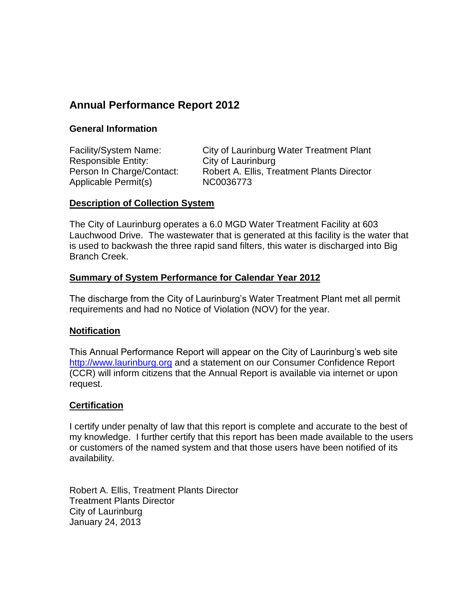# **Annual Performance Report 2012**

## **General Information**

Facility/System Name: City of Laurinburg Water Treatment Plant Responsible Entity: City of Laurinburg Person In Charge/Contact: Robert A. Ellis, Treatment Plants Director Applicable Permit(s) NC0036773

### **Description of Collection System**

The City of Laurinburg operates a 6.0 MGD Water Treatment Facility at 603 Lauchwood Drive. The wastewater that is generated at this facility is the water that is used to backwash the three rapid sand filters, this water is discharged into Big Branch Creek.

## **Summary of System Performance for Calendar Year 2012**

The discharge from the City of Laurinburg's Water Treatment Plant met all permit requirements and had no Notice of Violation (NOV) for the year.

## **Notification**

This Annual Performance Report will appear on the City of Laurinburg's web site [http://www.laurinburg.org](http://www.laurinburg.org/) and a statement on our Consumer Confidence Report (CCR) will inform citizens that the Annual Report is available via internet or upon request.

## **Certification**

I certify under penalty of law that this report is complete and accurate to the best of my knowledge. I further certify that this report has been made available to the users or customers of the named system and that those users have been notified of its availability.

Robert A. Ellis, Treatment Plants Director Treatment Plants Director City of Laurinburg January 24, 2013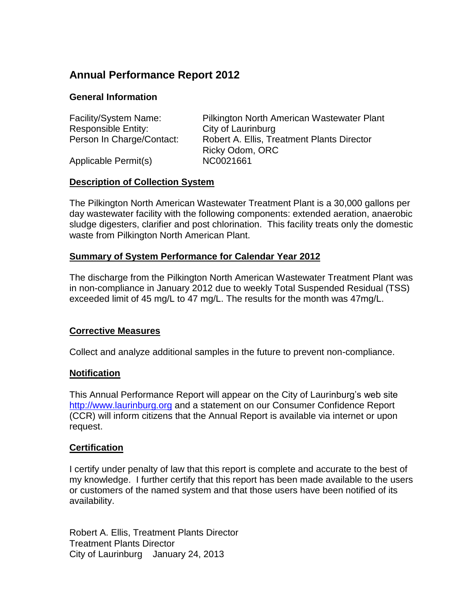# **Annual Performance Report 2012**

## **General Information**

| Facility/System Name:      | Pilkington North American Wastewater Plant |
|----------------------------|--------------------------------------------|
| <b>Responsible Entity:</b> | City of Laurinburg                         |
| Person In Charge/Contact:  | Robert A. Ellis, Treatment Plants Director |
|                            | Ricky Odom, ORC                            |
| Applicable Permit(s)       | NC0021661                                  |

### **Description of Collection System**

The Pilkington North American Wastewater Treatment Plant is a 30,000 gallons per day wastewater facility with the following components: extended aeration, anaerobic sludge digesters, clarifier and post chlorination. This facility treats only the domestic waste from Pilkington North American Plant.

## **Summary of System Performance for Calendar Year 2012**

The discharge from the Pilkington North American Wastewater Treatment Plant was in non-compliance in January 2012 due to weekly Total Suspended Residual (TSS) exceeded limit of 45 mg/L to 47 mg/L. The results for the month was 47mg/L.

## **Corrective Measures**

Collect and analyze additional samples in the future to prevent non-compliance.

#### **Notification**

This Annual Performance Report will appear on the City of Laurinburg's web site [http://www.laurinburg.org](http://www.laurinburg.org/) and a statement on our Consumer Confidence Report (CCR) will inform citizens that the Annual Report is available via internet or upon request.

## **Certification**

I certify under penalty of law that this report is complete and accurate to the best of my knowledge. I further certify that this report has been made available to the users or customers of the named system and that those users have been notified of its availability.

Robert A. Ellis, Treatment Plants Director Treatment Plants Director City of Laurinburg January 24, 2013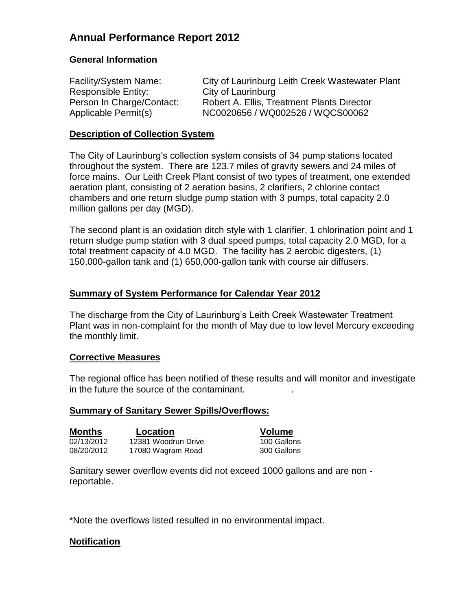# **Annual Performance Report 2012**

## **General Information**

| Facility/System Name:     | City of Laurinburg Leith Creek Wastewater Plant |
|---------------------------|-------------------------------------------------|
| Responsible Entity:       | City of Laurinburg                              |
| Person In Charge/Contact: | Robert A. Ellis, Treatment Plants Director      |
| Applicable Permit(s)      | NC0020656 / WQ002526 / WQCS00062                |

### **Description of Collection System**

The City of Laurinburg's collection system consists of 34 pump stations located throughout the system. There are 123.7 miles of gravity sewers and 24 miles of force mains. Our Leith Creek Plant consist of two types of treatment, one extended aeration plant, consisting of 2 aeration basins, 2 clarifiers, 2 chlorine contact chambers and one return sludge pump station with 3 pumps, total capacity 2.0 million gallons per day (MGD).

The second plant is an oxidation ditch style with 1 clarifier, 1 chlorination point and 1 return sludge pump station with 3 dual speed pumps, total capacity 2.0 MGD, for a total treatment capacity of 4.0 MGD. The facility has 2 aerobic digesters, (1) 150,000-gallon tank and (1) 650,000-gallon tank with course air diffusers.

## **Summary of System Performance for Calendar Year 2012**

The discharge from the City of Laurinburg's Leith Creek Wastewater Treatment Plant was in non-complaint for the month of May due to low level Mercury exceeding the monthly limit.

#### **Corrective Measures**

The regional office has been notified of these results and will monitor and investigate in the future the source of the contaminant. .

#### **Summary of Sanitary Sewer Spills/Overflows:**

| Months     | Location      |
|------------|---------------|
| 02/13/2012 | 12381 Woodrun |
| 08/20/2012 | 17080 Wagram  |

**Volume** n Drive 100 Gallons n Road 300 Gallons

Sanitary sewer overflow events did not exceed 1000 gallons and are non reportable.

\*Note the overflows listed resulted in no environmental impact.

#### **Notification**